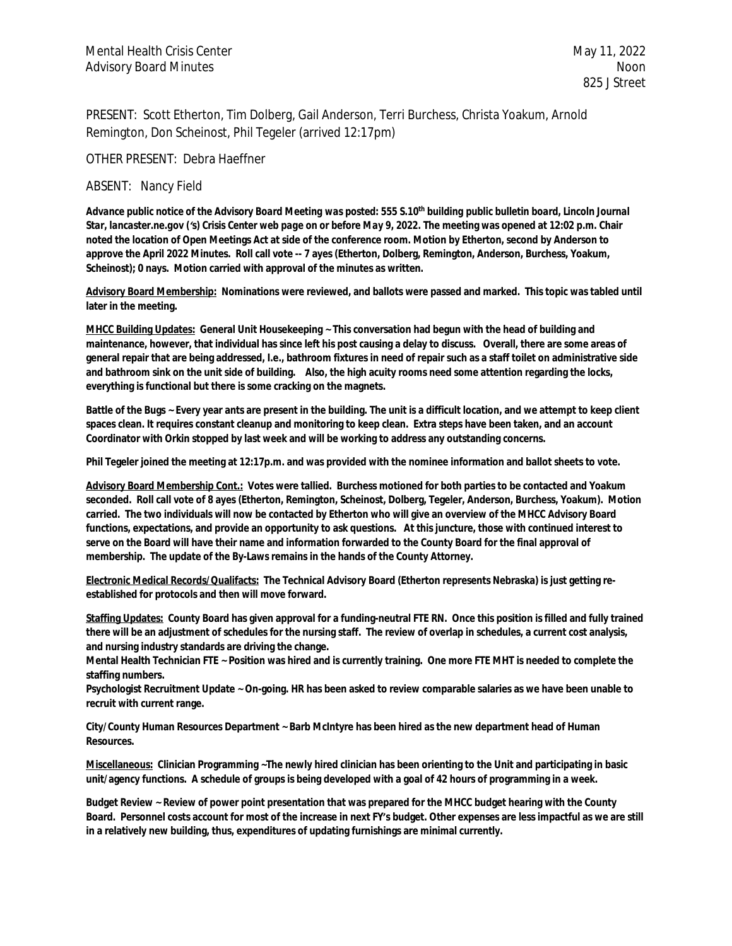PRESENT: Scott Etherton, Tim Dolberg, Gail Anderson, Terri Burchess, Christa Yoakum, Arnold Remington, Don Scheinost, Phil Tegeler (arrived 12:17pm)

OTHER PRESENT: Debra Haeffner

## ABSENT: Nancy Field

*Advance public notice of the Advisory Board Meeting was posted: 555 S.10th building public bulletin board, Lincoln Journal Star, lancaster.ne.gov ('s) Crisis Center web page on or before May 9, 2022.* **The meeting was opened at 12:02 p.m. Chair noted the location of Open Meetings Act at side of the conference room. Motion by Etherton, second by Anderson to approve the April 2022 Minutes. Roll call vote -- 7 ayes (Etherton, Dolberg, Remington, Anderson, Burchess, Yoakum, Scheinost); 0 nays. Motion carried with approval of the minutes as written.**

**Advisory Board Membership: Nominations were reviewed, and ballots were passed and marked. This topic was tabled until later in the meeting.** 

**MHCC Building Updates: General Unit Housekeeping ~ This conversation had begun with the head of building and maintenance, however, that individual has since left his post causing a delay to discuss. Overall, there are some areas of general repair that are being addressed, I.e., bathroom fixtures in need of repair such as a staff toilet on administrative side and bathroom sink on the unit side of building. Also, the high acuity rooms need some attention regarding the locks, everything is functional but there is some cracking on the magnets.**

**Battle of the Bugs ~ Every year ants are present in the building. The unit is a difficult location, and we attempt to keep client spaces clean. It requires constant cleanup and monitoring to keep clean. Extra steps have been taken, and an account Coordinator with Orkin stopped by last week and will be working to address any outstanding concerns.**

**Phil Tegeler joined the meeting at 12:17p.m. and was provided with the nominee information and ballot sheets to vote.**

**Advisory Board Membership Cont.: Votes were tallied. Burchess motioned for both parties to be contacted and Yoakum seconded. Roll call vote of 8 ayes (Etherton, Remington, Scheinost, Dolberg, Tegeler, Anderson, Burchess, Yoakum). Motion carried. The two individuals will now be contacted by Etherton who will give an overview of the MHCC Advisory Board functions, expectations, and provide an opportunity to ask questions. At this juncture, those with continued interest to serve on the Board will have their name and information forwarded to the County Board for the final approval of membership. The update of the By-Laws remains in the hands of the County Attorney.** 

**Electronic Medical Records/Qualifacts: The Technical Advisory Board (Etherton represents Nebraska) is just getting reestablished for protocols and then will move forward.** 

**Staffing Updates: County Board has given approval for a funding-neutral FTE RN. Once this position is filled and fully trained there will be an adjustment of schedules for the nursing staff. The review of overlap in schedules, a current cost analysis, and nursing industry standards are driving the change.** 

**Mental Health Technician FTE ~ Position was hired and is currently training. One more FTE MHT is needed to complete the staffing numbers.**

**Psychologist Recruitment Update ~ On-going. HR has been asked to review comparable salaries as we have been unable to recruit with current range.**

**City/County Human Resources Department ~ Barb McIntyre has been hired as the new department head of Human Resources.** 

**Miscellaneous: Clinician Programming ~The newly hired clinician has been orienting to the Unit and participating in basic unit/agency functions. A schedule of groups is being developed with a goal of 42 hours of programming in a week.** 

**Budget Review ~ Review of power point presentation that was prepared for the MHCC budget hearing with the County Board. Personnel costs account for most of the increase in next FY's budget. Other expenses are less impactful as we are still in a relatively new building, thus, expenditures of updating furnishings are minimal currently.**